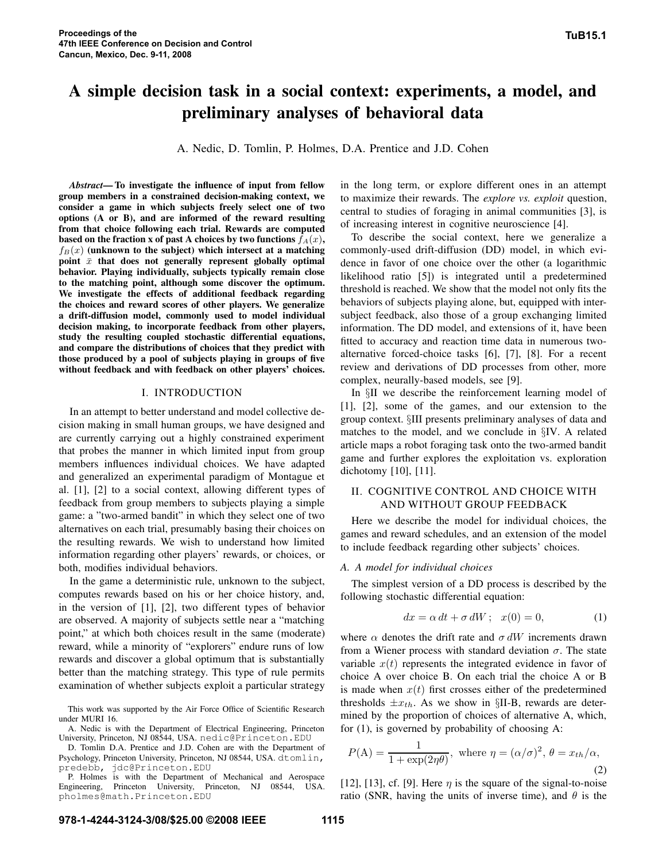# **A simple decision task in a social context: experiments, a model, and preliminary analyses of behavioral data**

A. Nedic, D. Tomlin, P. Holmes, D.A. Prentice and J.D. Cohen

*Abstract***— To investigate the influence of input from fellow group members in a constrained decision-making context, we consider a game in which subjects freely select one of two options (A or B), and are informed of the reward resulting from that choice following each trial. Rewards are computed based** on the fraction **x** of past A choices by two functions  $f_A(x)$ ,  $f_B(x)$  (unknown to the subject) which intersect at a matching **point**  $\bar{x}$  **that does not generally represent globally optimal behavior. Playing individually, subjects typically remain close to the matching point, although some discover the optimum. We investigate the effects of additional feedback regarding the choices and reward scores of other players. We generalize a drift-diffusion model, commonly used to model individual decision making, to incorporate feedback from other players, study the resulting coupled stochastic differential equations, and compare the distributions of choices that they predict with those produced by a pool of subjects playing in groups of five without feedback and with feedback on other players' choices.**

## I. INTRODUCTION

In an attempt to better understand and model collective decision making in small human groups, we have designed and are currently carrying out a highly constrained experiment that probes the manner in which limited input from group members influences individual choices. We have adapted and generalized an experimental paradigm of Montague et al. [1], [2] to a social context, allowing different types of feedback from group members to subjects playing a simple game: a "two-armed bandit" in which they select one of two alternatives on each trial, presumably basing their choices on the resulting rewards. We wish to understand how limited information regarding other players' rewards, or choices, or both, modifies individual behaviors.

In the game a deterministic rule, unknown to the subject, computes rewards based on his or her choice history, and, in the version of [1], [2], two different types of behavior are observed. A majority of subjects settle near a "matching point," at which both choices result in the same (moderate) reward, while a minority of "explorers" endure runs of low rewards and discover a global optimum that is substantially better than the matching strategy. This type of rule permits examination of whether subjects exploit a particular strategy

This work was supported by the Air Force Office of Scientific Research under MURI 16.

A. Nedic is with the Department of Electrical Engineering, Princeton University, Princeton, NJ 08544, USA. nedic@Princeton.EDU

D. Tomlin D.A. Prentice and J.D. Cohen are with the Department of Psychology, Princeton University, Princeton, NJ 08544, USA. dtomlin, predebb, jdc@Princeton.EDU

P. Holmes is with the Department of Mechanical and Aerospace Engineering, Princeton University, Princeton, NJ 08544, USA. pholmes@math.Princeton.EDU

in the long term, or explore different ones in an attempt to maximize their rewards. The *explore vs. exploit* question, central to studies of foraging in animal communities [3], is of increasing interest in cognitive neuroscience [4].

To describe the social context, here we generalize a commonly-used drift-diffusion (DD) model, in which evidence in favor of one choice over the other (a logarithmic likelihood ratio [5]) is integrated until a predetermined threshold is reached. We show that the model not only fits the behaviors of subjects playing alone, but, equipped with intersubject feedback, also those of a group exchanging limited information. The DD model, and extensions of it, have been fitted to accuracy and reaction time data in numerous twoalternative forced-choice tasks [6], [7], [8]. For a recent review and derivations of DD processes from other, more complex, neurally-based models, see [9].

In §II we describe the reinforcement learning model of [1], [2], some of the games, and our extension to the group context. §III presents preliminary analyses of data and matches to the model, and we conclude in §IV. A related article maps a robot foraging task onto the two-armed bandit game and further explores the exploitation vs. exploration dichotomy [10], [11].

# II. COGNITIVE CONTROL AND CHOICE WITH AND WITHOUT GROUP FEEDBACK

Here we describe the model for individual choices, the games and reward schedules, and an extension of the model to include feedback regarding other subjects' choices.

## *A. A model for individual choices*

The simplest version of a DD process is described by the following stochastic differential equation:

$$
dx = \alpha dt + \sigma dW; \quad x(0) = 0,
$$
 (1)

where  $\alpha$  denotes the drift rate and  $\sigma dW$  increments drawn from a Wiener process with standard deviation  $\sigma$ . The state variable  $x(t)$  represents the integrated evidence in favor of choice A over choice B. On each trial the choice A or B is made when  $x(t)$  first crosses either of the predetermined thresholds  $\pm x_{th}$ . As we show in §II-B, rewards are determined by the proportion of choices of alternative A, which, for (1), is governed by probability of choosing A:

$$
P(A) = \frac{1}{1 + \exp(2\eta\theta)}, \text{ where } \eta = (\alpha/\sigma)^2, \theta = x_{th}/\alpha,
$$
\n(2)

[12], [13], cf. [9]. Here  $\eta$  is the square of the signal-to-noise ratio (SNR, having the units of inverse time), and  $\theta$  is the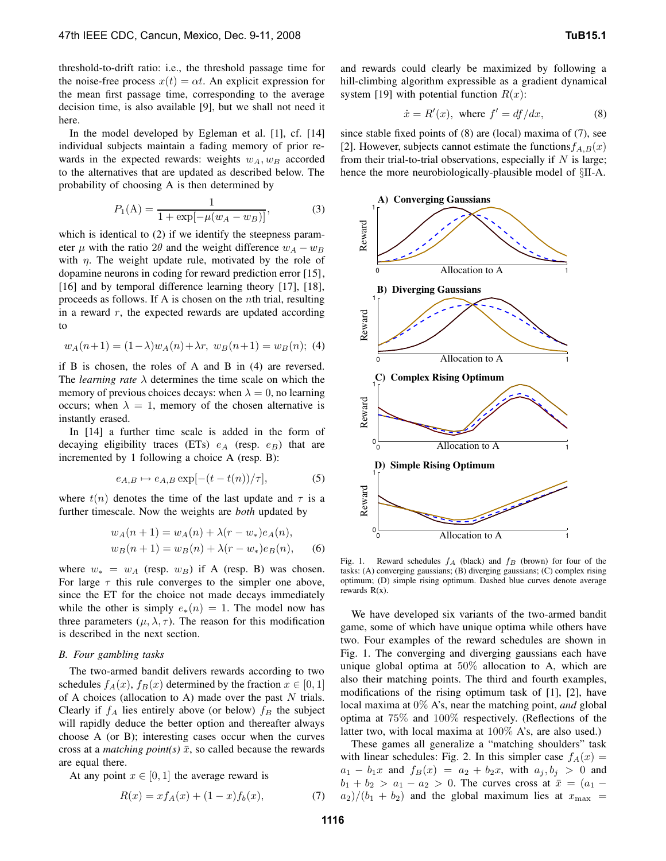threshold-to-drift ratio: i.e., the threshold passage time for the noise-free process  $x(t) = \alpha t$ . An explicit expression for the mean first passage time, corresponding to the average decision time, is also available [9], but we shall not need it here.

In the model developed by Egleman et al. [1], cf. [14] individual subjects maintain a fading memory of prior rewards in the expected rewards: weights  $w_A, w_B$  accorded to the alternatives that are updated as described below. The probability of choosing A is then determined by

$$
P_1(A) = \frac{1}{1 + \exp[-\mu(w_A - w_B)]},
$$
\n(3)

which is identical to (2) if we identify the steepness parameter  $\mu$  with the ratio 2 $\theta$  and the weight difference  $w_A - w_B$ with  $\eta$ . The weight update rule, motivated by the role of dopamine neurons in coding for reward prediction error [15], [16] and by temporal difference learning theory [17], [18], proceeds as follows. If A is chosen on the nth trial, resulting in a reward  $r$ , the expected rewards are updated according to

$$
w_A(n+1) = (1 - \lambda)w_A(n) + \lambda r, w_B(n+1) = w_B(n); (4)
$$

if B is chosen, the roles of A and B in (4) are reversed. The *learning rate*  $\lambda$  determines the time scale on which the memory of previous choices decays: when  $\lambda = 0$ , no learning occurs; when  $\lambda = 1$ , memory of the chosen alternative is instantly erased.

In [14] a further time scale is added in the form of decaying eligibility traces (ETs)  $e_A$  (resp.  $e_B$ ) that are incremented by 1 following a choice A (resp. B):

$$
e_{A,B} \mapsto e_{A,B} \exp[-(t - t(n))/\tau], \tag{5}
$$

where  $t(n)$  denotes the time of the last update and  $\tau$  is a further timescale. Now the weights are *both* updated by

$$
w_A(n+1) = w_A(n) + \lambda(r - w_*)e_A(n),
$$
  
\n
$$
w_B(n+1) = w_B(n) + \lambda(r - w_*)e_B(n),
$$
 (6)

where  $w_* = w_A$  (resp.  $w_B$ ) if A (resp. B) was chosen. For large  $\tau$  this rule converges to the simpler one above, since the ET for the choice not made decays immediately while the other is simply  $e_*(n) = 1$ . The model now has three parameters  $(\mu, \lambda, \tau)$ . The reason for this modification is described in the next section.

# *B. Four gambling tasks*

The two-armed bandit delivers rewards according to two schedules  $f_A(x)$ ,  $f_B(x)$  determined by the fraction  $x \in [0,1]$ of A choices (allocation to A) made over the past  $N$  trials. Clearly if  $f_A$  lies entirely above (or below)  $f_B$  the subject will rapidly deduce the better option and thereafter always choose A (or B); interesting cases occur when the curves cross at a *matching point(s)*  $\bar{x}$ , so called because the rewards are equal there.

At any point  $x \in [0, 1]$  the average reward is

$$
R(x) = x f_A(x) + (1 - x) f_b(x), \tag{7}
$$

and rewards could clearly be maximized by following a hill-climbing algorithm expressible as a gradient dynamical system [19] with potential function  $R(x)$ :

$$
\dot{x} = R'(x), \text{ where } f' = \frac{df}{dx}, \tag{8}
$$

since stable fixed points of (8) are (local) maxima of (7), see [2]. However, subjects cannot estimate the functions  $f_{A,B}(x)$ from their trial-to-trial observations, especially if  $N$  is large; hence the more neurobiologically-plausible model of §II-A.



Fig. 1. Reward schedules  $f_A$  (black) and  $f_B$  (brown) for four of the tasks: (A) converging gaussians; (B) diverging gaussians; (C) complex rising optimum; (D) simple rising optimum. Dashed blue curves denote average rewards  $R(x)$ .

We have developed six variants of the two-armed bandit game, some of which have unique optima while others have two. Four examples of the reward schedules are shown in Fig. 1. The converging and diverging gaussians each have unique global optima at 50% allocation to A, which are also their matching points. The third and fourth examples, modifications of the rising optimum task of [1], [2], have local maxima at 0% A's, near the matching point, *and* global optima at 75% and 100% respectively. (Reflections of the latter two, with local maxima at 100% A's, are also used.)

These games all generalize a "matching shoulders" task with linear schedules: Fig. 2. In this simpler case  $f_A(x) =$  $a_1 - b_1x$  and  $f_B(x) = a_2 + b_2x$ , with  $a_j, b_j > 0$  and  $b_1 + b_2 > a_1 - a_2 > 0$ . The curves cross at  $\bar{x} = (a_1 - a_2)$  $a_2$ /( $b_1 + b_2$ ) and the global maximum lies at  $x_{\text{max}} =$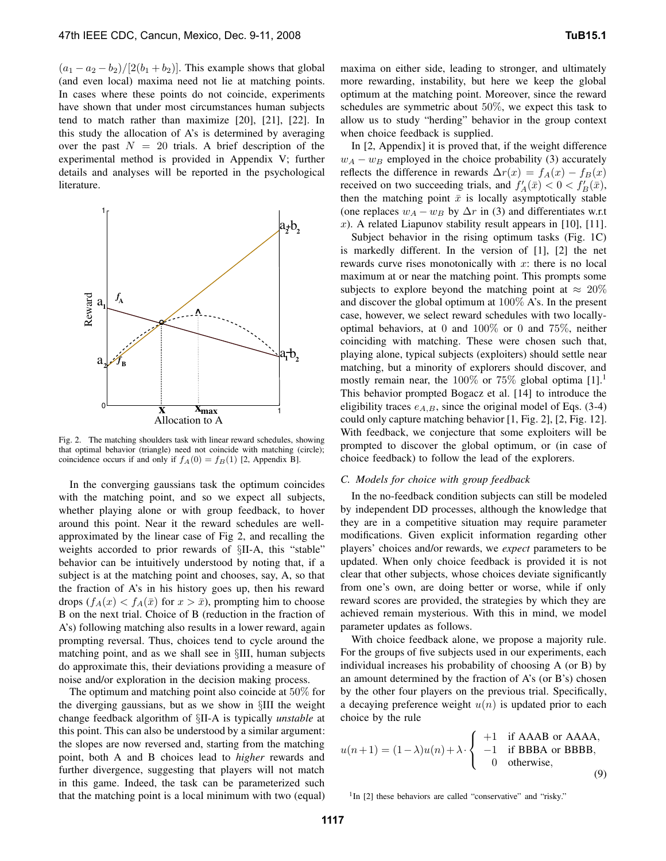$(a_1 - a_2 - b_2)/[2(b_1 + b_2)]$ . This example shows that global (and even local) maxima need not lie at matching points. In cases where these points do not coincide, experiments have shown that under most circumstances human subjects tend to match rather than maximize [20], [21], [22]. In this study the allocation of A's is determined by averaging over the past  $N = 20$  trials. A brief description of the experimental method is provided in Appendix V; further details and analyses will be reported in the psychological literature.



Fig. 2. The matching shoulders task with linear reward schedules, showing that optimal behavior (triangle) need not coincide with matching (circle); coincidence occurs if and only if  $f_A(0) = f_B(1)$  [2, Appendix B].

In the converging gaussians task the optimum coincides with the matching point, and so we expect all subjects, whether playing alone or with group feedback, to hover around this point. Near it the reward schedules are wellapproximated by the linear case of Fig 2, and recalling the weights accorded to prior rewards of §II-A, this "stable" behavior can be intuitively understood by noting that, if a subject is at the matching point and chooses, say, A, so that the fraction of A's in his history goes up, then his reward drops  $(f_A(x) < f_A(\bar{x})$  for  $x > \bar{x}$ ), prompting him to choose B on the next trial. Choice of B (reduction in the fraction of A's) following matching also results in a lower reward, again prompting reversal. Thus, choices tend to cycle around the matching point, and as we shall see in §III, human subjects do approximate this, their deviations providing a measure of noise and/or exploration in the decision making process.

The optimum and matching point also coincide at 50% for the diverging gaussians, but as we show in §III the weight change feedback algorithm of §II-A is typically *unstable* at this point. This can also be understood by a similar argument: the slopes are now reversed and, starting from the matching point, both A and B choices lead to *higher* rewards and further divergence, suggesting that players will not match in this game. Indeed, the task can be parameterized such that the matching point is a local minimum with two (equal) maxima on either side, leading to stronger, and ultimately more rewarding, instability, but here we keep the global optimum at the matching point. Moreover, since the reward schedules are symmetric about 50%, we expect this task to allow us to study "herding" behavior in the group context when choice feedback is supplied.

In [2, Appendix] it is proved that, if the weight difference  $w_A - w_B$  employed in the choice probability (3) accurately reflects the difference in rewards  $\Delta r(x) = f_A(x) - f_B(x)$ received on two succeeding trials, and  $f'_A(\bar{x}) < 0 < f'_B(\bar{x})$ , then the matching point  $\bar{x}$  is locally asymptotically stable (one replaces  $w_A - w_B$  by  $\Delta r$  in (3) and differentiates w.r.t x). A related Liapunov stability result appears in  $[10]$ ,  $[11]$ .

Subject behavior in the rising optimum tasks (Fig. 1C) is markedly different. In the version of [1], [2] the net rewards curve rises monotonically with  $x$ : there is no local maximum at or near the matching point. This prompts some subjects to explore beyond the matching point at  $\approx 20\%$ and discover the global optimum at 100% A's. In the present case, however, we select reward schedules with two locallyoptimal behaviors, at 0 and 100% or 0 and 75%, neither coinciding with matching. These were chosen such that, playing alone, typical subjects (exploiters) should settle near matching, but a minority of explorers should discover, and mostly remain near, the  $100\%$  or  $75\%$  global optima  $[1].<sup>1</sup>$ This behavior prompted Bogacz et al. [14] to introduce the eligibility traces  $e_{A,B}$ , since the original model of Eqs. (3-4) could only capture matching behavior [1, Fig. 2], [2, Fig. 12]. With feedback, we conjecture that some exploiters will be prompted to discover the global optimum, or (in case of choice feedback) to follow the lead of the explorers.

# *C. Models for choice with group feedback*

In the no-feedback condition subjects can still be modeled by independent DD processes, although the knowledge that they are in a competitive situation may require parameter modifications. Given explicit information regarding other players' choices and/or rewards, we *expect* parameters to be updated. When only choice feedback is provided it is not clear that other subjects, whose choices deviate significantly from one's own, are doing better or worse, while if only reward scores are provided, the strategies by which they are achieved remain mysterious. With this in mind, we model parameter updates as follows.

With choice feedback alone, we propose a majority rule. For the groups of five subjects used in our experiments, each individual increases his probability of choosing A (or B) by an amount determined by the fraction of A's (or B's) chosen by the other four players on the previous trial. Specifically, a decaying preference weight  $u(n)$  is updated prior to each choice by the rule

$$
u(n+1) = (1 - \lambda)u(n) + \lambda \cdot \begin{cases} +1 & \text{if AAAB or AAAA,} \\ -1 & \text{if BBBA or BBBB,} \\ 0 & \text{otherwise,} \end{cases}
$$
(9)

<sup>1</sup>In [2] these behaviors are called "conservative" and "risky."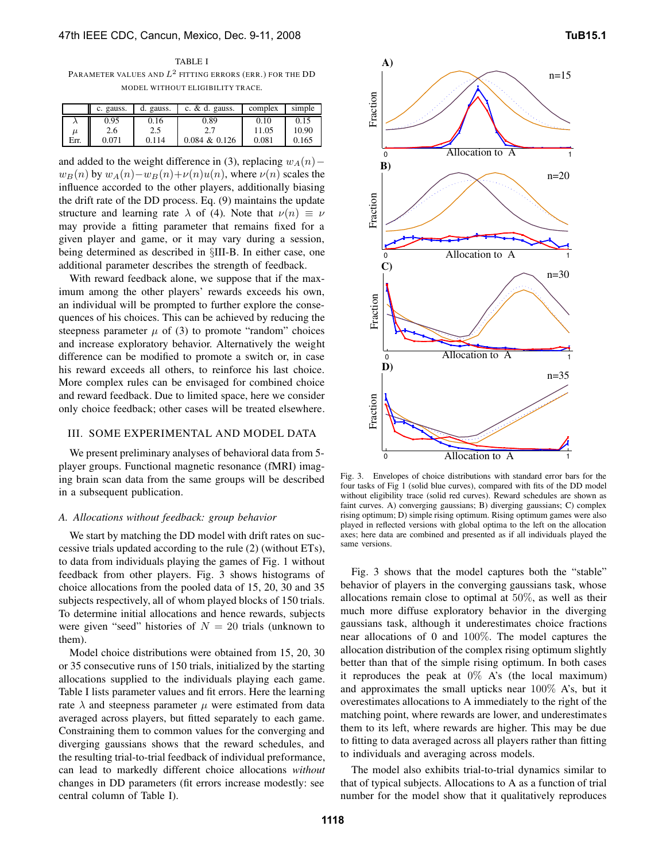TABLE I PARAMETER VALUES AND  $L^2$  fitting errors (err.) for the DD MODEL WITHOUT ELIGIBILITY TRACE.

|       | c. gauss. | gauss.<br>d. | c. $\&$ d. gauss. | complex | simple |
|-------|-----------|--------------|-------------------|---------|--------|
|       | 0.95      | 0.16         | 0.89              | 0.10    | 0.15   |
| $\mu$ | 2.6       | 2.5          |                   | 11.05   | 10.90  |
| Err.  | 0.071     | 0.114        | $0.084 \& 0.126$  | 0.081   | 0.165  |

and added to the weight difference in (3), replacing  $w_A(n)$  –  $w_B(n)$  by  $w_A(n)-w_B(n)+\nu(n)u(n)$ , where  $\nu(n)$  scales the influence accorded to the other players, additionally biasing the drift rate of the DD process. Eq. (9) maintains the update structure and learning rate  $\lambda$  of (4). Note that  $\nu(n) \equiv \nu$ may provide a fitting parameter that remains fixed for a given player and game, or it may vary during a session, being determined as described in §III-B. In either case, one additional parameter describes the strength of feedback.

With reward feedback alone, we suppose that if the maximum among the other players' rewards exceeds his own, an individual will be prompted to further explore the consequences of his choices. This can be achieved by reducing the steepness parameter  $\mu$  of (3) to promote "random" choices and increase exploratory behavior. Alternatively the weight difference can be modified to promote a switch or, in case his reward exceeds all others, to reinforce his last choice. More complex rules can be envisaged for combined choice and reward feedback. Due to limited space, here we consider only choice feedback; other cases will be treated elsewhere.

## III. SOME EXPERIMENTAL AND MODEL DATA

We present preliminary analyses of behavioral data from 5 player groups. Functional magnetic resonance (fMRI) imaging brain scan data from the same groups will be described in a subsequent publication.

#### *A. Allocations without feedback: group behavior*

We start by matching the DD model with drift rates on successive trials updated according to the rule (2) (without ETs), to data from individuals playing the games of Fig. 1 without feedback from other players. Fig. 3 shows histograms of choice allocations from the pooled data of 15, 20, 30 and 35 subjects respectively, all of whom played blocks of 150 trials. To determine initial allocations and hence rewards, subjects were given "seed" histories of  $N = 20$  trials (unknown to them).

Model choice distributions were obtained from 15, 20, 30 or 35 consecutive runs of 150 trials, initialized by the starting allocations supplied to the individuals playing each game. Table I lists parameter values and fit errors. Here the learning rate  $\lambda$  and steepness parameter  $\mu$  were estimated from data averaged across players, but fitted separately to each game. Constraining them to common values for the converging and diverging gaussians shows that the reward schedules, and the resulting trial-to-trial feedback of individual preformance, can lead to markedly different choice allocations *without* changes in DD parameters (fit errors increase modestly: see central column of Table I).



Fig. 3. Envelopes of choice distributions with standard error bars for the four tasks of Fig 1 (solid blue curves), compared with fits of the DD model without eligibility trace (solid red curves). Reward schedules are shown as faint curves. A) converging gaussians; B) diverging gaussians; C) complex rising optimum; D) simple rising optimum. Rising optimum games were also played in reflected versions with global optima to the left on the allocation axes; here data are combined and presented as if all individuals played the same versions.

Fig. 3 shows that the model captures both the "stable" behavior of players in the converging gaussians task, whose allocations remain close to optimal at 50%, as well as their much more diffuse exploratory behavior in the diverging gaussians task, although it underestimates choice fractions near allocations of 0 and 100%. The model captures the allocation distribution of the complex rising optimum slightly better than that of the simple rising optimum. In both cases it reproduces the peak at  $0\%$  A's (the local maximum) and approximates the small upticks near 100% A's, but it overestimates allocations to A immediately to the right of the matching point, where rewards are lower, and underestimates them to its left, where rewards are higher. This may be due to fitting to data averaged across all players rather than fitting to individuals and averaging across models.

The model also exhibits trial-to-trial dynamics similar to that of typical subjects. Allocations to A as a function of trial number for the model show that it qualitatively reproduces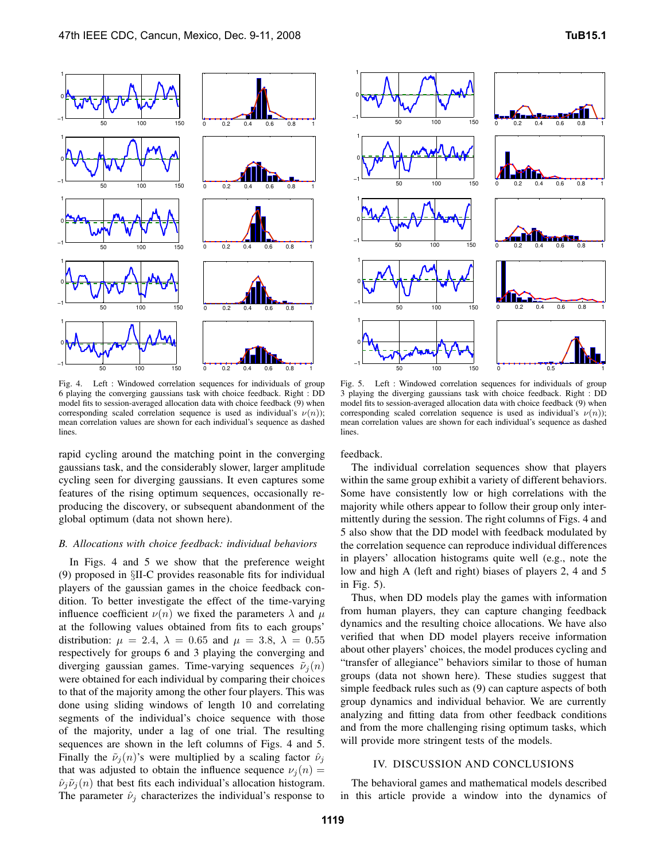

Fig. 4. Left : Windowed correlation sequences for individuals of group 6 playing the converging gaussians task with choice feedback. Right : DD model fits to session-averaged allocation data with choice feedback (9) when corresponding scaled correlation sequence is used as individual's  $\nu(n)$ ); mean correlation values are shown for each individual's sequence as dashed lines.

rapid cycling around the matching point in the converging gaussians task, and the considerably slower, larger amplitude cycling seen for diverging gaussians. It even captures some features of the rising optimum sequences, occasionally reproducing the discovery, or subsequent abandonment of the global optimum (data not shown here).

# *B. Allocations with choice feedback: individual behaviors*

In Figs. 4 and 5 we show that the preference weight (9) proposed in §II-C provides reasonable fits for individual players of the gaussian games in the choice feedback condition. To better investigate the effect of the time-varying influence coefficient  $\nu(n)$  we fixed the parameters  $\lambda$  and  $\mu$ at the following values obtained from fits to each groups' distribution:  $\mu = 2.4$ ,  $\lambda = 0.65$  and  $\mu = 3.8$ ,  $\lambda = 0.55$ respectively for groups 6 and 3 playing the converging and diverging gaussian games. Time-varying sequences  $\tilde{\nu}_i(n)$ were obtained for each individual by comparing their choices to that of the majority among the other four players. This was done using sliding windows of length 10 and correlating segments of the individual's choice sequence with those of the majority, under a lag of one trial. The resulting sequences are shown in the left columns of Figs. 4 and 5. Finally the  $\tilde{\nu}_i(n)$ 's were multiplied by a scaling factor  $\hat{\nu}_i$ that was adjusted to obtain the influence sequence  $\nu_j(n) =$  $\hat{\nu}_j \tilde{\nu}_j(n)$  that best fits each individual's allocation histogram. The parameter  $\hat{\nu}_i$  characterizes the individual's response to



Fig. 5. Left : Windowed correlation sequences for individuals of group 3 playing the diverging gaussians task with choice feedback. Right : DD model fits to session-averaged allocation data with choice feedback (9) when corresponding scaled correlation sequence is used as individual's  $\nu(n)$ ); mean correlation values are shown for each individual's sequence as dashed lines.

feedback.

The individual correlation sequences show that players within the same group exhibit a variety of different behaviors. Some have consistently low or high correlations with the majority while others appear to follow their group only intermittently during the session. The right columns of Figs. 4 and 5 also show that the DD model with feedback modulated by the correlation sequence can reproduce individual differences in players' allocation histograms quite well (e.g., note the low and high A (left and right) biases of players 2, 4 and 5 in Fig. 5).

Thus, when DD models play the games with information from human players, they can capture changing feedback dynamics and the resulting choice allocations. We have also verified that when DD model players receive information about other players' choices, the model produces cycling and "transfer of allegiance" behaviors similar to those of human groups (data not shown here). These studies suggest that simple feedback rules such as (9) can capture aspects of both group dynamics and individual behavior. We are currently analyzing and fitting data from other feedback conditions and from the more challenging rising optimum tasks, which will provide more stringent tests of the models.

# IV. DISCUSSION AND CONCLUSIONS

The behavioral games and mathematical models described in this article provide a window into the dynamics of